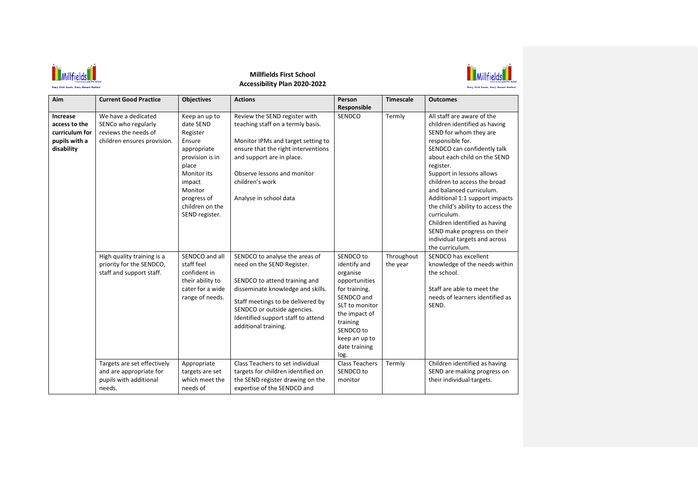

## **Millfields First School Accessibility Plan 2020-2022**



| Aim                                                                        | <b>Current Good Practice</b>                                                                      | <b>Objectives</b>                                                                                                                                                                          | <b>Actions</b>                                                                                                                                                                                                                                                       | Person<br>Responsible                                                                                                                                                                       | <b>Timescale</b>       | <b>Outcomes</b>                                                                                                                                                                                                                                                                                                                                                                                                                                                                          |
|----------------------------------------------------------------------------|---------------------------------------------------------------------------------------------------|--------------------------------------------------------------------------------------------------------------------------------------------------------------------------------------------|----------------------------------------------------------------------------------------------------------------------------------------------------------------------------------------------------------------------------------------------------------------------|---------------------------------------------------------------------------------------------------------------------------------------------------------------------------------------------|------------------------|------------------------------------------------------------------------------------------------------------------------------------------------------------------------------------------------------------------------------------------------------------------------------------------------------------------------------------------------------------------------------------------------------------------------------------------------------------------------------------------|
| Increase<br>access to the<br>curriculum for<br>pupils with a<br>disability | We have a dedicated<br>SENCo who regularly<br>reviews the needs of<br>children ensures provision. | Keep an up to<br>date SEND<br>Register<br>Ensure<br>appropriate<br>provision is in<br>place<br><b>Monitor</b> its<br>impact<br>Monitor<br>progress of<br>children on the<br>SEND register. | Review the SEND register with<br>teaching staff on a termly basis.<br>Monitor IPMs and target setting to<br>ensure that the right interventions<br>and support are in place.<br>Observe lessons and monitor<br>children's work<br>Analyse in school data             | <b>SENDCO</b>                                                                                                                                                                               | Termly                 | All staff are aware of the<br>children identified as having<br>SEND for whom they are<br>responsible for.<br>SENDCO can confidently talk<br>about each child on the SEND<br>register.<br>Support in lessons allows<br>children to access the broad<br>and balanced curriculum.<br>Additional 1:1 support impacts<br>the child's ability to access the<br>curriculum.<br>Children identified as having<br>SEND make progress on their<br>individual targets and across<br>the curriculum. |
|                                                                            | High quality training is a<br>priority for the SENDCO,<br>staff and support staff.                | SENDCO and all<br>staff feel<br>confident in<br>their ability to<br>cater for a wide<br>range of needs.                                                                                    | SENDCO to analyse the areas of<br>need on the SEND Register.<br>SENDCO to attend training and<br>disseminate knowledge and skills.<br>Staff meetings to be delivered by<br>SENDCO or outside agencies.<br>Identified support staff to attend<br>additional training. | SENDCO to<br>identify and<br>organise<br>opportunities<br>for training.<br>SENDCO and<br>SLT to monitor<br>the impact of<br>training<br>SENDCO to<br>keep an up to<br>date training<br>log. | Throughout<br>the year | SENDCO has excellent<br>knowledge of the needs within<br>the school.<br>Staff are able to meet the<br>needs of learners identified as<br>SEND.                                                                                                                                                                                                                                                                                                                                           |
|                                                                            | Targets are set effectively<br>and are appropriate for<br>pupils with additional<br>needs.        | Appropriate<br>targets are set<br>which meet the<br>needs of                                                                                                                               | Class Teachers to set individual<br>targets for children identified on<br>the SEND register drawing on the<br>expertise of the SENDCO and                                                                                                                            | <b>Class Teachers</b><br>SENDCO to<br>monitor                                                                                                                                               | Termly                 | Children identified as having<br>SEND are making progress on<br>their individual targets.                                                                                                                                                                                                                                                                                                                                                                                                |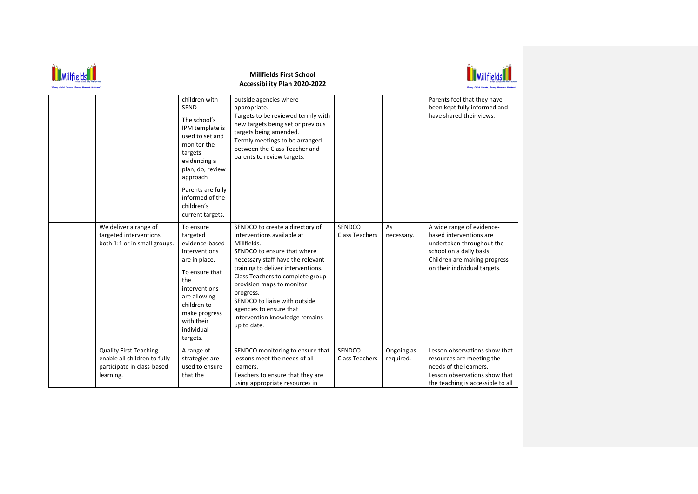| <b>Millfields First School</b><br>Accessibility Plan 2020-2022                                           |                                                                                                                                                                                                                                        |                                                                                                                                                                                                                                                                                                                                                                                   |                                 |                         |                                                                                                                                                                               |  |
|----------------------------------------------------------------------------------------------------------|----------------------------------------------------------------------------------------------------------------------------------------------------------------------------------------------------------------------------------------|-----------------------------------------------------------------------------------------------------------------------------------------------------------------------------------------------------------------------------------------------------------------------------------------------------------------------------------------------------------------------------------|---------------------------------|-------------------------|-------------------------------------------------------------------------------------------------------------------------------------------------------------------------------|--|
|                                                                                                          | children with<br><b>SEND</b><br>The school's<br>IPM template is<br>used to set and<br>monitor the<br>targets<br>evidencing a<br>plan, do, review<br>approach<br>Parents are fully<br>informed of the<br>children's<br>current targets. | outside agencies where<br>appropriate.<br>Targets to be reviewed termly with<br>new targets being set or previous<br>targets being amended.<br>Termly meetings to be arranged<br>between the Class Teacher and<br>parents to review targets.                                                                                                                                      |                                 |                         | Parents feel that they have<br>been kept fully informed and<br>have shared their views.                                                                                       |  |
| We deliver a range of<br>targeted interventions<br>both 1:1 or in small groups.                          | To ensure<br>targeted<br>evidence-based<br>interventions<br>are in place.<br>To ensure that<br>the<br>interventions<br>are allowing<br>children to<br>make progress<br>with their<br>individual<br>targets.                            | SENDCO to create a directory of<br>interventions available at<br>Millfields.<br>SENDCO to ensure that where<br>necessary staff have the relevant<br>training to deliver interventions.<br>Class Teachers to complete group<br>provision maps to monitor<br>progress.<br>SENDCO to liaise with outside<br>agencies to ensure that<br>intervention knowledge remains<br>up to date. | SENDCO<br><b>Class Teachers</b> | As<br>necessary.        | A wide range of evidence-<br>based interventions are<br>undertaken throughout the<br>school on a daily basis.<br>Children are making progress<br>on their individual targets. |  |
| <b>Quality First Teaching</b><br>enable all children to fully<br>participate in class-based<br>learning. | A range of<br>strategies are<br>used to ensure<br>that the                                                                                                                                                                             | SENDCO monitoring to ensure that<br>lessons meet the needs of all<br>learners.<br>Teachers to ensure that they are<br>using appropriate resources in                                                                                                                                                                                                                              | SENDCO<br><b>Class Teachers</b> | Ongoing as<br>required. | Lesson observations show that<br>resources are meeting the<br>needs of the learners.<br>Lesson observations show that<br>the teaching is accessible to all                    |  |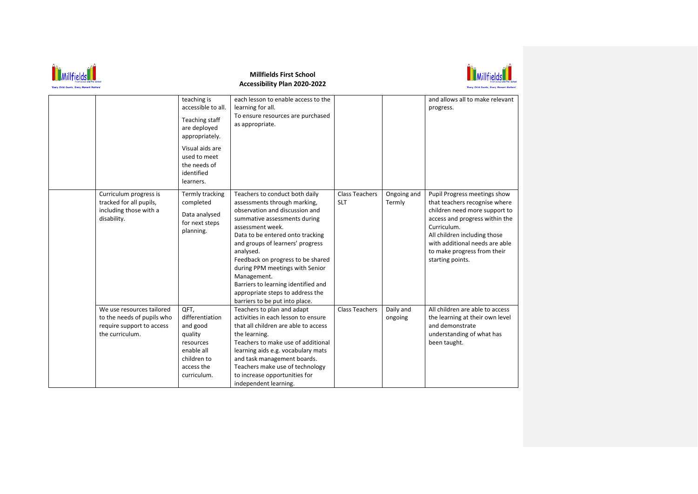

## **Millfields First School Accessibility Plan 2020-2022**



|                                                                                                         | teaching is<br>accessible to all.<br>Teaching staff<br>are deployed<br>appropriately.<br>Visual aids are<br>used to meet<br>the needs of<br>identified<br>learners. | each lesson to enable access to the<br>learning for all.<br>To ensure resources are purchased<br>as appropriate.                                                                                                                                                                                                                                                                                                                              |                                     |                       | and allows all to make relevant<br>progress.                                                                                                                                                                                                                         |
|---------------------------------------------------------------------------------------------------------|---------------------------------------------------------------------------------------------------------------------------------------------------------------------|-----------------------------------------------------------------------------------------------------------------------------------------------------------------------------------------------------------------------------------------------------------------------------------------------------------------------------------------------------------------------------------------------------------------------------------------------|-------------------------------------|-----------------------|----------------------------------------------------------------------------------------------------------------------------------------------------------------------------------------------------------------------------------------------------------------------|
| Curriculum progress is<br>tracked for all pupils,<br>including those with a<br>disability.              | Termly tracking<br>completed<br>Data analysed<br>for next steps<br>planning.                                                                                        | Teachers to conduct both daily<br>assessments through marking,<br>observation and discussion and<br>summative assessments during<br>assessment week.<br>Data to be entered onto tracking<br>and groups of learners' progress<br>analysed.<br>Feedback on progress to be shared<br>during PPM meetings with Senior<br>Management.<br>Barriers to learning identified and<br>appropriate steps to address the<br>barriers to be put into place. | <b>Class Teachers</b><br><b>SLT</b> | Ongoing and<br>Termly | Pupil Progress meetings show<br>that teachers recognise where<br>children need more support to<br>access and progress within the<br>Curriculum.<br>All children including those<br>with additional needs are able<br>to make progress from their<br>starting points. |
| We use resources tailored<br>to the needs of pupils who<br>require support to access<br>the curriculum. | QFT,<br>differentiation<br>and good<br>quality<br>resources<br>enable all<br>children to<br>access the<br>curriculum.                                               | Teachers to plan and adapt<br>activities in each lesson to ensure<br>that all children are able to access<br>the learning.<br>Teachers to make use of additional<br>learning aids e.g. vocabulary mats<br>and task management boards.<br>Teachers make use of technology<br>to increase opportunities for<br>independent learning.                                                                                                            | <b>Class Teachers</b>               | Daily and<br>ongoing  | All children are able to access<br>the learning at their own level<br>and demonstrate<br>understanding of what has<br>been taught.                                                                                                                                   |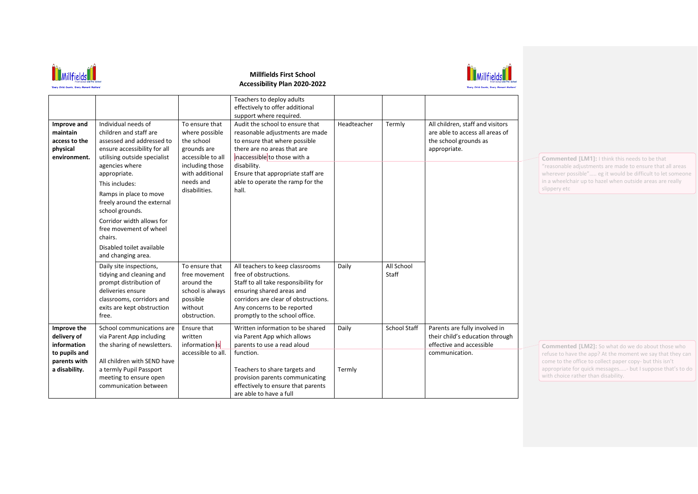

## **Millfields First School Accessibility Plan 2020-2022**



| Improve and<br>maintain<br>access to the<br>physical<br>environment.                        | Individual needs of<br>children and staff are<br>assessed and addressed to<br>ensure accessibility for all<br>utilising outside specialist                                                                                                       | To ensure that<br>where possible<br>the school<br>grounds are<br>accessible to all                       | Teachers to deploy adults<br>effectively to offer additional<br>support where required.<br>Audit the school to ensure that<br>reasonable adjustments are made<br>to ensure that where possible<br>there are no areas that are<br>inaccessible to those with a | Headteacher     | Termly              | All children, staff and visitors<br>are able to access all areas of<br>the school grounds as<br>appropriate.   |
|---------------------------------------------------------------------------------------------|--------------------------------------------------------------------------------------------------------------------------------------------------------------------------------------------------------------------------------------------------|----------------------------------------------------------------------------------------------------------|---------------------------------------------------------------------------------------------------------------------------------------------------------------------------------------------------------------------------------------------------------------|-----------------|---------------------|----------------------------------------------------------------------------------------------------------------|
|                                                                                             | agencies where<br>appropriate.<br>This includes:<br>Ramps in place to move<br>freely around the external<br>school grounds.<br>Corridor width allows for<br>free movement of wheel<br>chairs.<br>Disabled toilet available<br>and changing area. | including those<br>with additional<br>needs and<br>disabilities.                                         | disability.<br>Ensure that appropriate staff are<br>able to operate the ramp for the<br>hall.                                                                                                                                                                 |                 |                     |                                                                                                                |
|                                                                                             | Daily site inspections,<br>tidying and cleaning and<br>prompt distribution of<br>deliveries ensure<br>classrooms, corridors and<br>exits are kept obstruction<br>free.                                                                           | To ensure that<br>free movement<br>around the<br>school is always<br>possible<br>without<br>obstruction. | All teachers to keep classrooms<br>free of obstructions.<br>Staff to all take responsibility for<br>ensuring shared areas and<br>corridors are clear of obstructions.<br>Any concerns to be reported<br>promptly to the school office.                        | Daily           | All School<br>Staff |                                                                                                                |
| Improve the<br>delivery of<br>information<br>to pupils and<br>parents with<br>a disability. | School communications are<br>via Parent App including<br>the sharing of newsletters.<br>All children with SEND have<br>a termly Pupil Passport<br>meeting to ensure open<br>communication between                                                | Ensure that<br>written<br>information is<br>accessible to all.                                           | Written information to be shared<br>via Parent App which allows<br>parents to use a read aloud<br>function.<br>Teachers to share targets and<br>provision parents communicating<br>effectively to ensure that parents<br>are able to have a full              | Daily<br>Termly | <b>School Staff</b> | Parents are fully involved in<br>their child's education through<br>effective and accessible<br>communication. |

**Commented [LM1]:** I think this needs to be that "reasonable adjustments are made to ensure that all areas wherever possible"..... eg it would be difficult to let someone in a wheelchair up to hazel when outside areas are really slippery etc

**Commented [LM2]:** So what do we do about those who refuse to have the app? At the moment we say that they can come to the office to collect paper copy- but this isn't appropriate for quick messages.....- but I suppose that's to do with choice rather than disability.